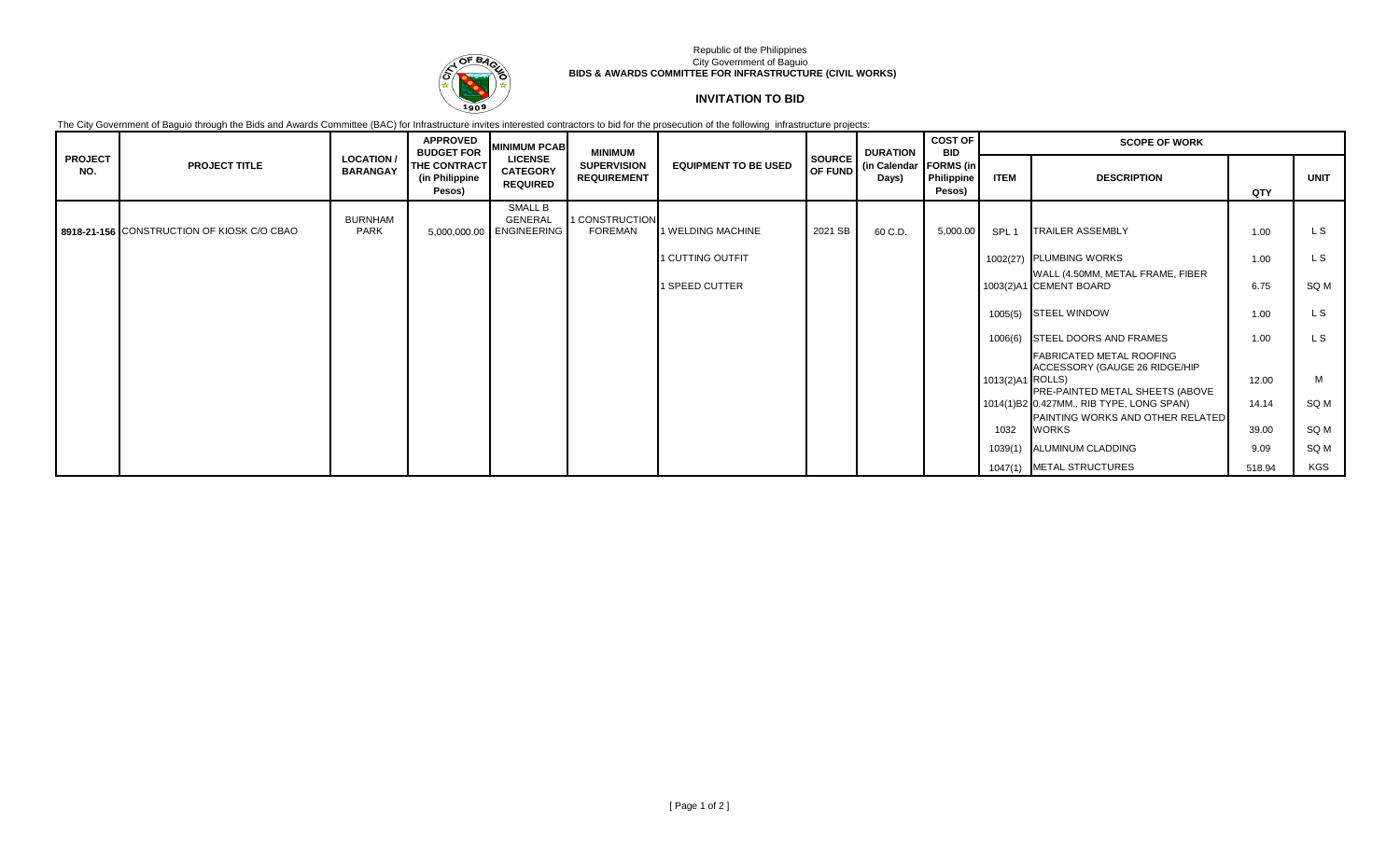

## Republic of the Philippines City Government of Baguio **BIDS & AWARDS COMMITTEE FOR INFRASTRUCTURE (CIVIL WORKS)**

## **INVITATION TO BID**

The City Government of Baguio through the Bids and Awards Committee (BAC) for Infrastructure invites interested contractors to bid for the prosecution of the following infrastructure projects:

|                       |                                            | <b>APPROVED</b><br><b>MINIMUM PCAB</b><br><b>MINIMUM</b><br><b>BUDGET FOR</b> |                                          |                                                       | <b>DURATION</b>                          | <b>COST OF</b><br><b>BID</b> | <b>SCOPE OF WORK</b>     |                                   |                      |                  |                                                                  |        |             |
|-----------------------|--------------------------------------------|-------------------------------------------------------------------------------|------------------------------------------|-------------------------------------------------------|------------------------------------------|------------------------------|--------------------------|-----------------------------------|----------------------|------------------|------------------------------------------------------------------|--------|-------------|
| <b>PROJECT</b><br>NO. | <b>PROJECT TITLE</b>                       | <b>LOCATION /</b><br><b>BARANGAY</b>                                          | THE CONTRACT<br>(in Philippine<br>Pesos) | <b>LICENSE</b><br><b>CATEGORY</b><br><b>REQUIRED</b>  | <b>SUPERVISION</b><br><b>REQUIREMENT</b> | <b>EQUIPMENT TO BE USED</b>  | <b>SOURCE</b><br>OF FUND | (in Calendar   FORMS (in<br>Days) | Philippine<br>Pesos) | <b>ITEM</b>      | <b>DESCRIPTION</b>                                               | QTY    | <b>UNIT</b> |
|                       | 8918-21-156 CONSTRUCTION OF KIOSK C/O CBAO | <b>BURNHAM</b><br><b>PARK</b>                                                 |                                          | SMALL B<br><b>GENERAL</b><br>5,000,000.00 ENGINEERING | 1 CONSTRUCTION<br><b>FOREMAN</b>         | 1 WELDING MACHINE            | 2021 SB                  | 60 C.D.                           | 5,000.00             | SPL 1            | <b>TRAILER ASSEMBLY</b>                                          | 1.00   | L S         |
|                       |                                            |                                                                               |                                          |                                                       |                                          | 1 CUTTING OUTFIT             |                          |                                   |                      |                  | 1002(27) PLUMBING WORKS                                          | 1.00   | L S         |
|                       |                                            |                                                                               |                                          |                                                       |                                          | 1 SPEED CUTTER               |                          |                                   |                      |                  | WALL (4.50MM, METAL FRAME, FIBER<br>1003(2)A1 CEMENT BOARD       | 6.75   | SQ M        |
|                       |                                            |                                                                               |                                          |                                                       |                                          |                              |                          |                                   |                      |                  | 1005(5) STEEL WINDOW                                             | 1.00   | L S         |
|                       |                                            |                                                                               |                                          |                                                       |                                          |                              |                          |                                   |                      |                  | 1006(6) STEEL DOORS AND FRAMES                                   | 1.00   | L S         |
|                       |                                            |                                                                               |                                          |                                                       |                                          |                              |                          |                                   |                      |                  | <b>FABRICATED METAL ROOFING</b><br>ACCESSORY (GAUGE 26 RIDGE/HIP |        |             |
|                       |                                            |                                                                               |                                          |                                                       |                                          |                              |                          |                                   |                      | 1013(2)A1 ROLLS) | PRE-PAINTED METAL SHEETS (ABOVE                                  | 12.00  | M           |
|                       |                                            |                                                                               |                                          |                                                       |                                          |                              |                          |                                   |                      |                  | 1014(1)B2 0.427MM., RIB TYPE, LONG SPAN)                         | 14.14  | SQ M        |
|                       |                                            |                                                                               |                                          |                                                       |                                          |                              |                          |                                   |                      | 1032             | PAINTING WORKS AND OTHER RELATED<br><b>WORKS</b>                 | 39.00  | SQ M        |
|                       |                                            |                                                                               |                                          |                                                       |                                          |                              |                          |                                   |                      | 1039(1)          | ALUMINUM CLADDING                                                | 9.09   | SQ M        |
|                       |                                            |                                                                               |                                          |                                                       |                                          |                              |                          |                                   |                      |                  | 1047(1) METAL STRUCTURES                                         | 518.94 | KGS         |